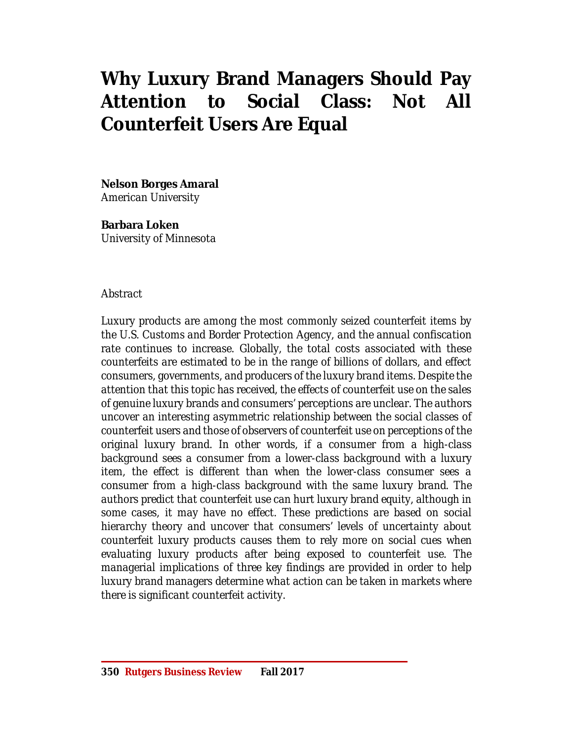# **Why Luxury Brand Managers Should Pay Attention to Social Class: Not All Counterfeit Users Are Equal**

**Nelson Borges Amaral**

*American University*

**Barbara Loken** *University of Minnesota*

# *Abstract*

*Luxury products are among the most commonly seized counterfeit items by the U.S. Customs and Border Protection Agency, and the annual confiscation rate continues to increase. Globally, the total costs associated with these counterfeits are estimated to be in the range of billions of dollars, and effect consumers, governments, and producers of the luxury brand items. Despite the attention that this topic has received, the effects of counterfeit use on the sales of genuine luxury brands and consumers' perceptions are unclear. The authors uncover an interesting asymmetric relationship between the social classes of counterfeit users and those of observers of counterfeit use on perceptions of the original luxury brand. In other words, if a consumer from a high-class background sees a consumer from a lower-class background with a luxury item, the effect is different than when the lower-class consumer sees a consumer from a high-class background with the same luxury brand. The authors predict that counterfeit use can hurt luxury brand equity, although in some cases, it may have no effect. These predictions are based on social hierarchy theory and uncover that consumers' levels of uncertainty about counterfeit luxury products causes them to rely more on social cues when evaluating luxury products after being exposed to counterfeit use. The managerial implications of three key findings are provided in order to help luxury brand managers determine what action can be taken in markets where there is significant counterfeit activity.*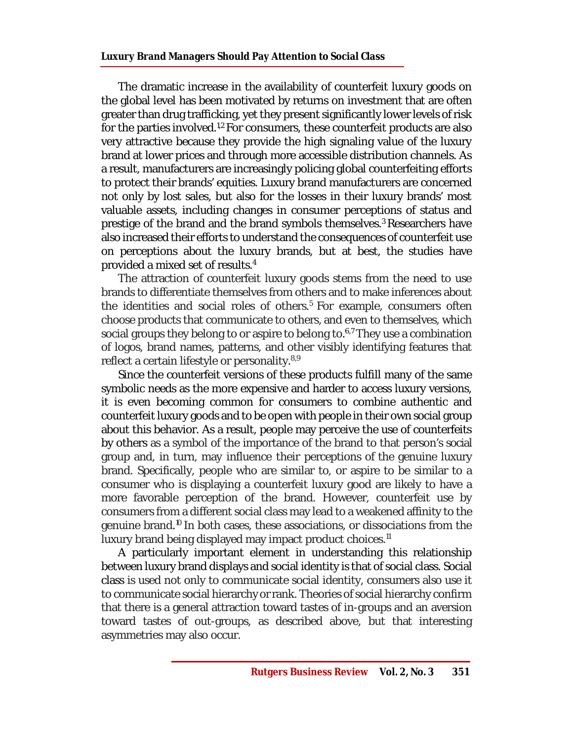The dramatic increase in the availability of counterfeit luxury goods on the global level has been motivated by returns on investment that are often greater than drug trafficking, yet they present significantly lower levels ofrisk for the parties involved.<sup>1,2</sup> For consumers, these counterfeit products are also very attractive because they provide the high signaling value of the luxury brand at lower prices and through more accessible distribution channels. As a result, manufacturers are increasingly policing global counterfeiting efforts to protect their brands' equities. Luxury brand manufacturers are concerned not only by lost sales, but also for the losses in their luxury brands' most valuable assets, including changes in consumer perceptions of status and prestige of the brand and the brand symbols themselves.<sup>3</sup> Researchers have also increased their efforts to understand the consequences of counterfeit use on perceptions about the luxury brands, but at best, the studies have provided a mixed set of results.<sup>4</sup>

The attraction of counterfeit luxury goods stems from the need to use brands to differentiate themselves from others and to make inferences about the identities and social roles of others.<sup>5</sup> For example, consumers often choose products that communicate to others, and even to themselves, which social groups they belong to or aspire to belong to. 6,7They use a combination of logos, brand names, patterns, and other visibly identifying features that reflect a certain lifestyle or personality.<sup>8,9</sup>

Since the counterfeit versions of these products fulfill many of the same symbolic needs as the more expensive and harder to access luxury versions, it is even becoming common for consumers to combine authentic and counterfeit luxury goods and to be open with people in their own social group about this behavior. As a result, people may perceive the use of counterfeits by others as a symbol of the importance of the brand to that person's social group and, in turn, may influence their perceptions of the genuine luxury brand. Specifically, people who are similar to, or aspire to be similar to a consumer who is displaying a counterfeit luxury good are likely to have a more favorable perception of the brand. However, counterfeit use by consumers from a different social class may lead to a weakened affinity to the genuine brand.<sup>10</sup> In both cases, these associations, or dissociations from the luxury brand being displayed may impact product choices.<sup>11</sup>

A particularly important element in understanding this relationship between luxury brand displays and social identity is that of social class. Social class is used not only to communicate social identity, consumers also use it to communicate social hierarchy orrank. Theories of social hierarchy confirm that there is a general attraction toward tastes of in-groups and an aversion toward tastes of out-groups, as described above, but that interesting asymmetries may also occur.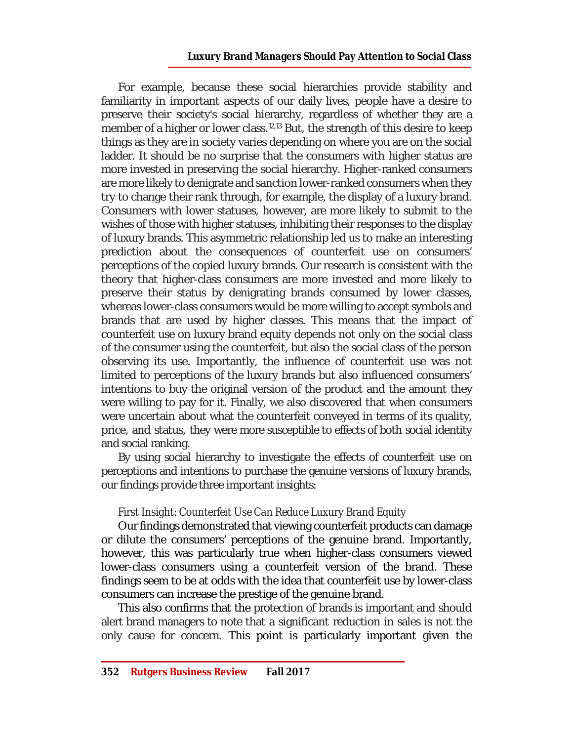For example, because these social hierarchies provide stability and familiarity in important aspects of our daily lives, people have a desire to preserve their society's social hierarchy, regardless of whether they are a member of a higher or lower class.<sup>12,13</sup> But, the strength of this desire to keep things as they are in society varies depending on where you are on the social ladder. It should be no surprise that the consumers with higher status are more invested in preserving the social hierarchy. Higher-ranked consumers are more likely to denigrate and sanction lower-ranked consumers when they try to change their rank through, for example, the display of a luxury brand. Consumers with lower statuses, however, are more likely to submit to the wishes of those with higher statuses, inhibiting their responses to the display of luxury brands. This asymmetric relationship led us to make an interesting prediction about the consequences of counterfeit use on consumers' perceptions of the copied luxury brands. Our research is consistent with the theory that higher-class consumers are more invested and more likely to preserve their status by denigrating brands consumed by lower classes, whereas lower-class consumers would be more willing to accept symbols and brands that are used by higher classes. This means that the impact of counterfeit use on luxury brand equity depends not only on the social class of the consumer using the counterfeit, but also the social class of the person observing its use. Importantly, the influence of counterfeit use was not limited to perceptions of the luxury brands but also influenced consumers' intentions to buy the original version of the product and the amount they were willing to pay for it. Finally, we also discovered that when consumers were uncertain about what the counterfeit conveyed in terms of its quality, price, and status, they were more susceptible to effects of both social identity and social ranking.

By using social hierarchy to investigate the effects of counterfeit use on perceptions and intentions to purchase the genuine versions of luxury brands, our findings provide three important insights:

# *First Insight: Counterfeit Use Can Reduce Luxury Brand Equity*

Our findings demonstrated that viewing counterfeit products can damage or dilute the consumers' perceptions of the genuine brand. Importantly, however, this was particularly true when higher-class consumers viewed lower-class consumers using a counterfeit version of the brand. These findings seem to be at odds with the idea that counterfeit use by lower-class consumers can increase the prestige of the genuine brand.

This also confirms that the protection of brands is important and should alert brand managers to note that a significant reduction in sales is not the only cause for concern. This point is particularly important given the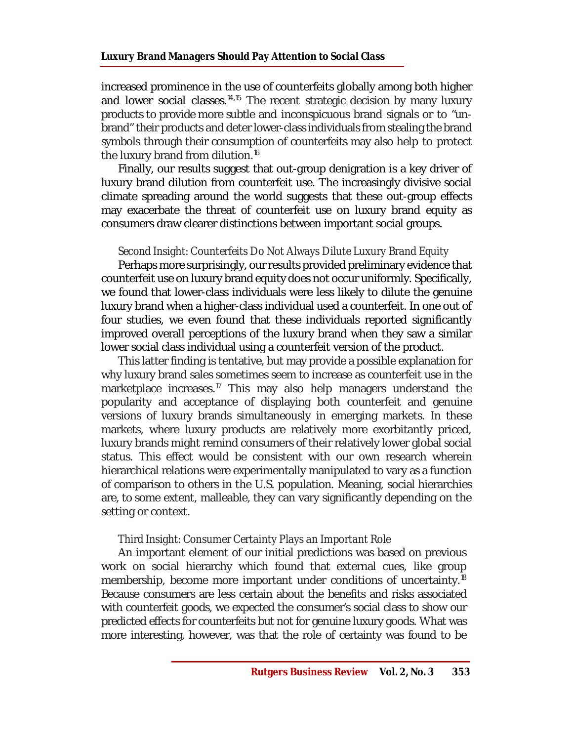#### **Luxury Brand Managers Should Pay Attention to Social Class**

increased prominence in the use of counterfeits globally among both higher and lower social classes.<sup>14,15</sup> The recent strategic decision by many luxury products to provide more subtle and inconspicuous brand signals or to "unbrand" their products and deter lower-class individuals from stealing the brand symbols through their consumption of counterfeits may also help to protect the luxury brand from dilution.<sup>16</sup>

Finally, our results suggest that out-group denigration is a key driver of luxury brand dilution from counterfeit use. The increasingly divisive social climate spreading around the world suggests that these out-group effects may exacerbate the threat of counterfeit use on luxury brand equity as consumers draw clearer distinctions between important social groups.

# *Second Insight: Counterfeits Do Not Always Dilute Luxury Brand Equity*

Perhaps more surprisingly, our results provided preliminary evidence that counterfeit use on luxury brand equity does not occur uniformly. Specifically, we found that lower-class individuals were less likely to dilute the genuine luxury brand when a higher-class individual used a counterfeit. In one out of four studies, we even found that these individuals reported significantly improved overall perceptions of the luxury brand when they saw a similar lower social class individual using a counterfeit version of the product.

This latter finding is tentative, but may provide a possible explanation for why luxury brand sales sometimes seem to increase as counterfeit use in the marketplace increases.<sup>17</sup> This may also help managers understand the popularity and acceptance of displaying both counterfeit and genuine versions of luxury brands simultaneously in emerging markets. In these markets, where luxury products are relatively more exorbitantly priced, luxury brands might remind consumers of their relatively lower global social status. This effect would be consistent with our own research wherein hierarchical relations were experimentally manipulated to vary as a function of comparison to others in the U.S. population. Meaning, social hierarchies are, to some extent, malleable, they can vary significantly depending on the setting or context.

# *Third Insight: Consumer Certainty Plays an Important Role*

An important element of our initial predictions was based on previous work on social hierarchy which found that external cues, like group membership, become more important under conditions of uncertainty.<sup>18</sup> Because consumers are less certain about the benefits and risks associated with counterfeit goods, we expected the consumer's social class to show our predicted effects for counterfeits but not for genuine luxury goods. What was more interesting, however, was that the role of certainty was found to be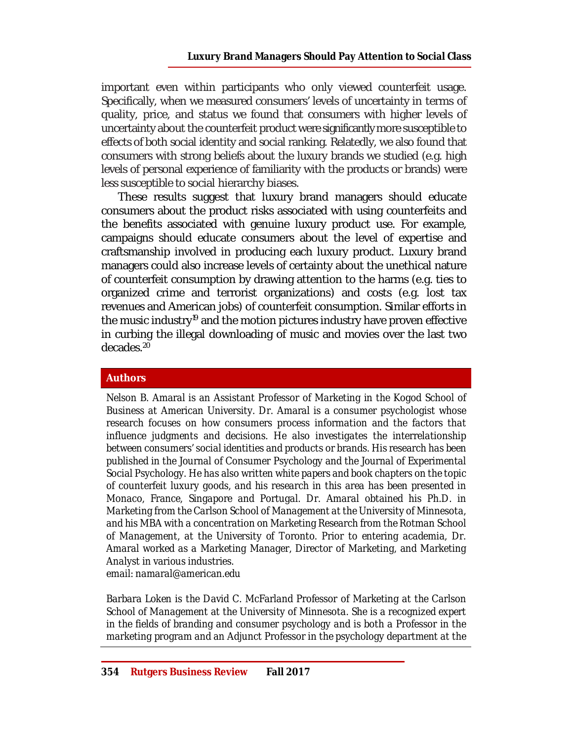important even within participants who only viewed counterfeit usage. Specifically, when we measured consumers' levels of uncertainty in terms of quality, price, and status we found that consumers with higher levels of uncertainty about the counterfeit product were significantly more susceptible to effects of both social identity and social ranking. Relatedly, we also found that consumers with strong beliefs about the luxury brands we studied (e.g. high levels of personal experience of familiarity with the products or brands) were less susceptible to social hierarchy biases.

These results suggest that luxury brand managers should educate consumers about the product risks associated with using counterfeits and the benefits associated with genuine luxury product use. For example, campaigns should educate consumers about the level of expertise and craftsmanship involved in producing each luxury product. Luxury brand managers could also increase levels of certainty about the unethical nature of counterfeit consumption by drawing attention to the harms (e.g. ties to organized crime and terrorist organizations) and costs (e.g. lost tax revenues and American jobs) of counterfeit consumption. Similar efforts in the music industry<sup>19</sup> and the motion pictures industry have proven effective in curbing the illegal downloading of music and movies over the last two decades.<sup>20</sup>

# **Authors**

*Nelson B. Amaral is an Assistant Professor of Marketing in the Kogod School of Business at American University. Dr. Amaral is a consumer psychologist whose research focuses on how consumers process information and the factors that influence judgments and decisions. He also investigates the interrelationship between consumers' social identities and products or brands. His research has been published in the Journal of Consumer Psychology and the Journal of Experimental Social Psychology. He has also written white papers and book chapters on the topic of counterfeit luxury goods, and his research in this area has been presented in Monaco, France, Singapore and Portugal. Dr. Amaral obtained his Ph.D. in Marketing from the Carlson School of Management at the University of Minnesota, and his MBA with a concentration on Marketing Research from the Rotman School of Management, at the University of Toronto. Prior to entering academia, Dr. Amaral worked as a Marketing Manager, Director of Marketing, and Marketing Analyst in various industries. email: [namaral@american.edu](mailto:namaral@american.edu)*

*Barbara Loken is the David C. McFarland Professor of Marketing at the Carlson School of Management at the University of Minnesota. She is a recognized expert in the fields of branding and consumer psychology and is both a Professor in the marketing program and an Adjunct Professor in the psychology department at the*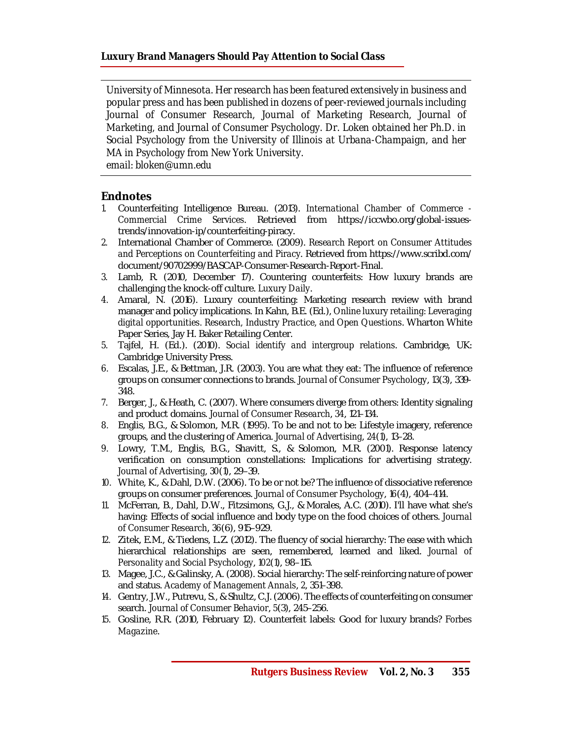*University of Minnesota. Her research has been featured extensively in business and popular press and has been published in dozens of peer-reviewed journals including Journal of Consumer Research, Journal of Marketing Research, Journal of Marketing, and Journal of Consumer Psychology. Dr. Loken obtained her Ph.D. in Social Psychology from the University of Illinois at Urbana-Champaign, and her MA in Psychology from New York University. email: [bloken@umn.edu](mailto:bloken@umn.edu)*

**Endnotes**

- *1.* Counterfeiting Intelligence Bureau. (2013). *International Chamber of Commerce - Commercial Crime Services*. Retrieved from [https://iccwbo.org/global-issues](https://iccwbo.org/global-issues-)trends/innovation-ip/counterfeiting-piracy.
- *2.* International Chamber of Commerce. (2009). *Research Report on Consumer Attitudes and Perceptions on Counterfeiting and Piracy*. Retrieved from <https://www.scribd.com/> document/90702999/BASCAP-Consumer-Research-Report-Final.
- *3.* Lamb, R. (2010, December 17). Countering counterfeits: How luxury brands are challenging the knock-off culture. *Luxury Daily*.
- *4.* Amaral, N. (2016). Luxury counterfeiting: Marketing research review with brand manager and policy implications. In Kahn, B.E. (Ed.), *Online luxury retailing: Leveraging digital opportunities. Research, Industry Practice, and Open Questions*. Wharton White Paper Series, Jay H. Baker Retailing Center.
- *5.* Tajfel, H. (Ed.). (2010). *Social identify and intergroup relations*. Cambridge, UK: Cambridge University Press.
- *6.* Escalas, J.E., & Bettman, J.R. (2003). You are what they eat: The influence of reference groups on consumer connections to brands. *Journal of Consumer Psychology*, *13*(3), 339- 348.
- *7.* Berger, J., & Heath, C. (2007). Where consumers diverge from others: Identity signaling and product domains. *Journal of Consumer Research*, *34*, 121–134.
- *8.* Englis, B.G., & Solomon, M.R. (1995). To be and not to be: Lifestyle imagery, reference groups, and the clustering of America. *Journal of Advertising*, *24*(1), 13–28.
- *9.* Lowry, T.M., Englis, B.G., Shavitt, S., & Solomon, M.R. (2001). Response latency verification on consumption constellations: Implications for advertising strategy. *Journal of Advertising*, *30*(1), 29–39.
- *10.* White, K., & Dahl, D.W. (2006). To be or not be? The influence of dissociative reference groups on consumer preferences. *Journal of Consumer Psychology*, *16*(4), 404–414.
- *11.* McFerran, B., Dahl, D.W., Fitzsimons, G.J., & Morales, A.C. (2010). I'll have what she's having: Effects of social influence and body type on the food choices of others. *Journal of Consumer Research*, *36*(6), 915–929.
- *12.* Zitek, E.M., & Tiedens, L.Z. (2012). The fluency of social hierarchy: The ease with which hierarchical relationships are seen, remembered, learned and liked. *Journal of Personality and Social Psychology*, *102*(1), 98–115.
- *13.* Magee, J.C., & Galinsky, A. (2008). Social hierarchy: The self-reinforcing nature of power and status. *Academy of Management Annals*, *2*, 351–398.
- *14.* Gentry, J.W., Putrevu, S., & Shultz, C.J. (2006). The effects of counterfeiting on consumer search. *Journal of Consumer Behavior*, *5*(3), 245–256.
- *15.* Gosline, R.R. (2010, February 12). Counterfeit labels: Good for luxury brands? *Forbes Magazine*.